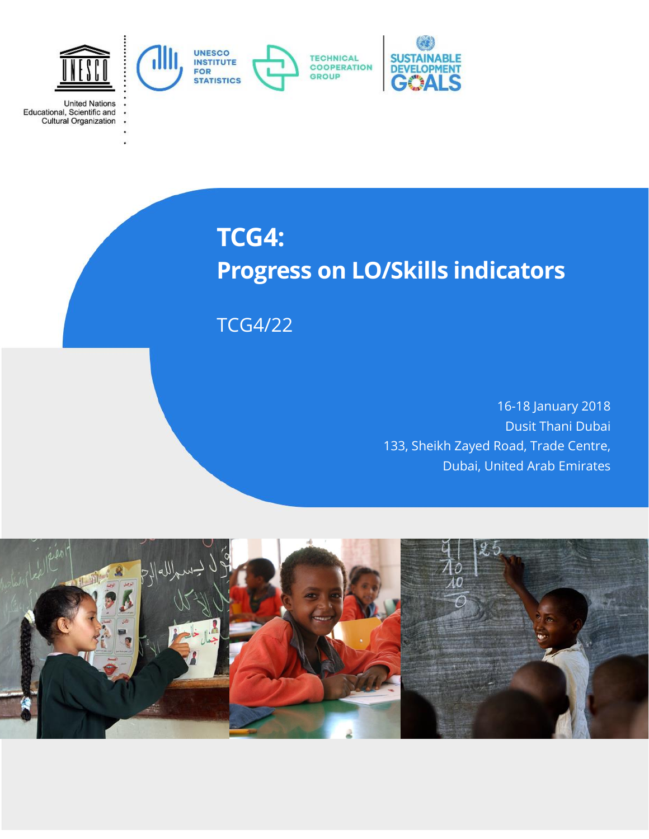

**TCG4: Progress on LO/Skills indicators** 

TCG4/22

16-18 January 2018 Dusit Thani Dubai 133, Sheikh Zayed Road, Trade Centre, Dubai, United Arab Emirates

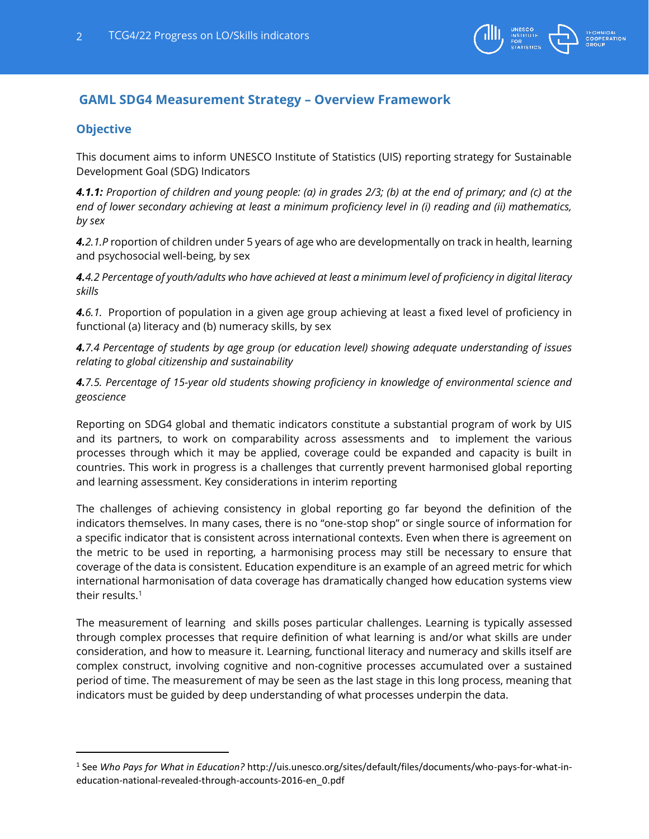

# **GAML SDG4 Measurement Strategy – Overview Framework**

# **Objective**

This document aims to inform UNESCO Institute of Statistics (UIS) reporting strategy for Sustainable Development Goal (SDG) Indicators

*4.1.1: Proportion of children and young people: (a) in grades 2/3; (b) at the end of primary; and (c) at the end of lower secondary achieving at least a minimum proficiency level in (i) reading and (ii) mathematics, by sex*

*4.2.1.P* roportion of children under 5 years of age who are developmentally on track in health, learning and psychosocial well-being, by sex

*4.4.2 Percentage of youth/adults who have achieved at least a minimum level of proficiency in digital literacy skills*

*4.6.1.* Proportion of population in a given age group achieving at least a fixed level of proficiency in functional (a) literacy and (b) numeracy skills, by sex

*4.7.4 Percentage of students by age group (or education level) showing adequate understanding of issues relating to global citizenship and sustainability*

*4.7.5. Percentage of 15-year old students showing proficiency in knowledge of environmental science and geoscience*

Reporting on SDG4 global and thematic indicators constitute a substantial program of work by UIS and its partners, to work on comparability across assessments and to implement the various processes through which it may be applied, coverage could be expanded and capacity is built in countries. This work in progress is a challenges that currently prevent harmonised global reporting and learning assessment. Key considerations in interim reporting

The challenges of achieving consistency in global reporting go far beyond the definition of the indicators themselves. In many cases, there is no "one-stop shop" or single source of information for a specific indicator that is consistent across international contexts. Even when there is agreement on the metric to be used in reporting, a harmonising process may still be necessary to ensure that coverage of the data is consistent. Education expenditure is an example of an agreed metric for which international harmonisation of data coverage has dramatically changed how education systems view their results.<sup>1</sup>

The measurement of learning and skills poses particular challenges. Learning is typically assessed through complex processes that require definition of what learning is and/or what skills are under consideration, and how to measure it. Learning, functional literacy and numeracy and skills itself are complex construct, involving cognitive and non-cognitive processes accumulated over a sustained period of time. The measurement of may be seen as the last stage in this long process, meaning that indicators must be guided by deep understanding of what processes underpin the data.

<sup>1</sup> See *Who Pays for What in Education?* http://uis.unesco.org/sites/default/files/documents/who-pays-for-what-ineducation-national-revealed-through-accounts-2016-en\_0.pdf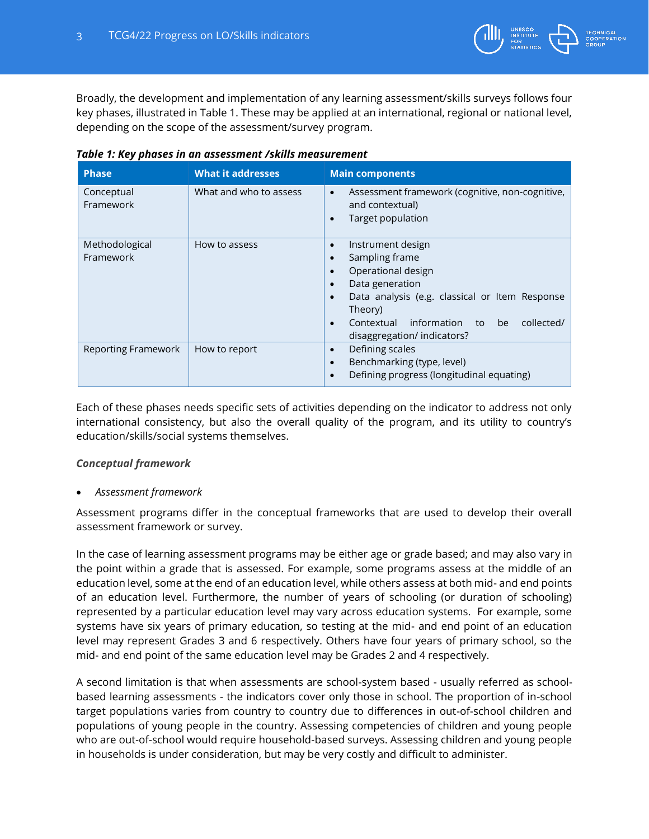

Broadly, the development and implementation of any learning assessment/skills surveys follows four key phases, illustrated in Table 1. These may be applied at an international, regional or national level, depending on the scope of the assessment/survey program.

| <b>Phase</b>                | <b>What it addresses</b> | <b>Main components</b>                                                                                                                                                                                                                                                                                 |  |  |  |  |  |  |  |
|-----------------------------|--------------------------|--------------------------------------------------------------------------------------------------------------------------------------------------------------------------------------------------------------------------------------------------------------------------------------------------------|--|--|--|--|--|--|--|
| Conceptual<br>Framework     | What and who to assess   | Assessment framework (cognitive, non-cognitive,<br>$\bullet$<br>and contextual)<br>Target population<br>$\bullet$                                                                                                                                                                                      |  |  |  |  |  |  |  |
| Methodological<br>Framework | How to assess            | Instrument design<br>$\bullet$<br>Sampling frame<br>$\bullet$<br>Operational design<br>$\bullet$<br>Data generation<br>$\bullet$<br>Data analysis (e.g. classical or Item Response<br>$\bullet$<br>Theory)<br>collected/<br>information to be<br>Contextual<br>$\bullet$<br>disaggregation/indicators? |  |  |  |  |  |  |  |
| Reporting Framework         | How to report            | Defining scales<br>$\bullet$<br>Benchmarking (type, level)<br>$\bullet$<br>Defining progress (longitudinal equating)<br>$\bullet$                                                                                                                                                                      |  |  |  |  |  |  |  |

*Table 1: Key phases in an assessment /skills measurement*

Each of these phases needs specific sets of activities depending on the indicator to address not only international consistency, but also the overall quality of the program, and its utility to country's education/skills/social systems themselves.

#### *Conceptual framework*

#### *Assessment framework*

Assessment programs differ in the conceptual frameworks that are used to develop their overall assessment framework or survey.

In the case of learning assessment programs may be either age or grade based; and may also vary in the point within a grade that is assessed. For example, some programs assess at the middle of an education level, some at the end of an education level, while others assess at both mid- and end points of an education level. Furthermore, the number of years of schooling (or duration of schooling) represented by a particular education level may vary across education systems. For example, some systems have six years of primary education, so testing at the mid- and end point of an education level may represent Grades 3 and 6 respectively. Others have four years of primary school, so the mid- and end point of the same education level may be Grades 2 and 4 respectively.

A second limitation is that when assessments are school-system based - usually referred as schoolbased learning assessments - the indicators cover only those in school. The proportion of in-school target populations varies from country to country due to differences in out-of-school children and populations of young people in the country. Assessing competencies of children and young people who are out-of-school would require household-based surveys. Assessing children and young people in households is under consideration, but may be very costly and difficult to administer.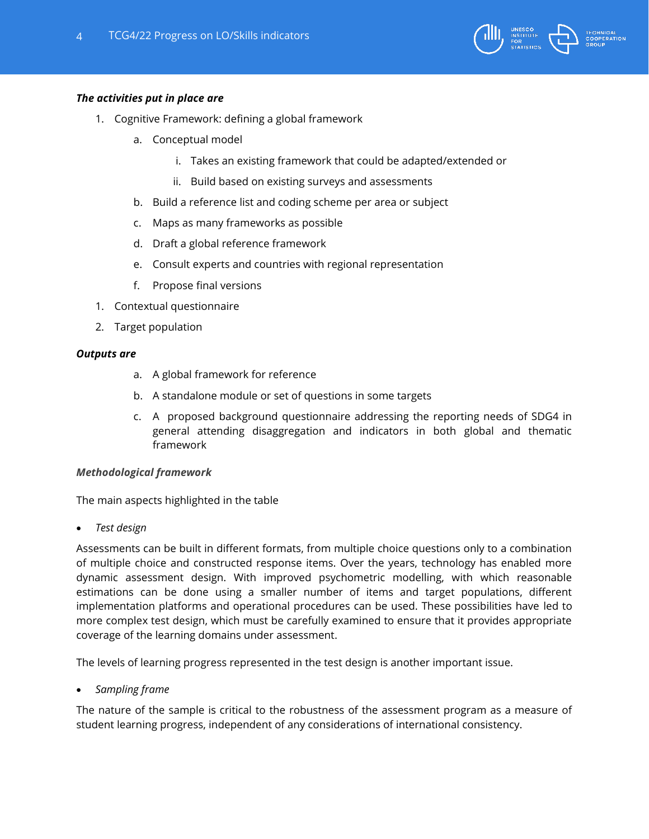

## *The activities put in place are*

- 1. Cognitive Framework: defining a global framework
	- a. Conceptual model
		- i. Takes an existing framework that could be adapted/extended or
		- ii. Build based on existing surveys and assessments
	- b. Build a reference list and coding scheme per area or subject
	- c. Maps as many frameworks as possible
	- d. Draft a global reference framework
	- e. Consult experts and countries with regional representation
	- f. Propose final versions
- 1. Contextual questionnaire
- 2. Target population

#### *Outputs are*

- a. A global framework for reference
- b. A standalone module or set of questions in some targets
- c. A proposed background questionnaire addressing the reporting needs of SDG4 in general attending disaggregation and indicators in both global and thematic framework

#### *Methodological framework*

The main aspects highlighted in the table

*Test design*

Assessments can be built in different formats, from multiple choice questions only to a combination of multiple choice and constructed response items. Over the years, technology has enabled more dynamic assessment design. With improved psychometric modelling, with which reasonable estimations can be done using a smaller number of items and target populations, different implementation platforms and operational procedures can be used. These possibilities have led to more complex test design, which must be carefully examined to ensure that it provides appropriate coverage of the learning domains under assessment.

The levels of learning progress represented in the test design is another important issue.

*Sampling frame*

The nature of the sample is critical to the robustness of the assessment program as a measure of student learning progress, independent of any considerations of international consistency.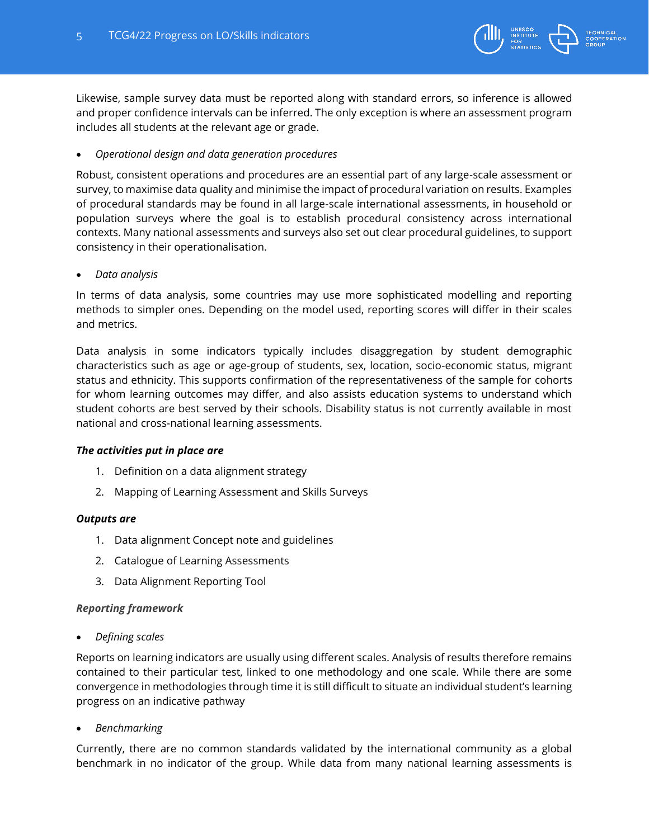

Likewise, sample survey data must be reported along with standard errors, so inference is allowed and proper confidence intervals can be inferred. The only exception is where an assessment program includes all students at the relevant age or grade.

#### *Operational design and data generation procedures*

Robust, consistent operations and procedures are an essential part of any large-scale assessment or survey, to maximise data quality and minimise the impact of procedural variation on results. Examples of procedural standards may be found in all large-scale international assessments, in household or population surveys where the goal is to establish procedural consistency across international contexts. Many national assessments and surveys also set out clear procedural guidelines, to support consistency in their operationalisation.

#### *Data analysis*

In terms of data analysis, some countries may use more sophisticated modelling and reporting methods to simpler ones. Depending on the model used, reporting scores will differ in their scales and metrics.

Data analysis in some indicators typically includes disaggregation by student demographic characteristics such as age or age-group of students, sex, location, socio-economic status, migrant status and ethnicity. This supports confirmation of the representativeness of the sample for cohorts for whom learning outcomes may differ, and also assists education systems to understand which student cohorts are best served by their schools. Disability status is not currently available in most national and cross-national learning assessments.

#### *The activities put in place are*

- 1. Definition on a data alignment strategy
- 2. Mapping of Learning Assessment and Skills Surveys

#### *Outputs are*

- 1. Data alignment Concept note and guidelines
- 2. Catalogue of Learning Assessments
- 3. Data Alignment Reporting Tool

#### *Reporting framework*

*Defining scales*

Reports on learning indicators are usually using different scales. Analysis of results therefore remains contained to their particular test, linked to one methodology and one scale. While there are some convergence in methodologies through time it is still difficult to situate an individual student's learning progress on an indicative pathway

*Benchmarking*

Currently, there are no common standards validated by the international community as a global benchmark in no indicator of the group. While data from many national learning assessments is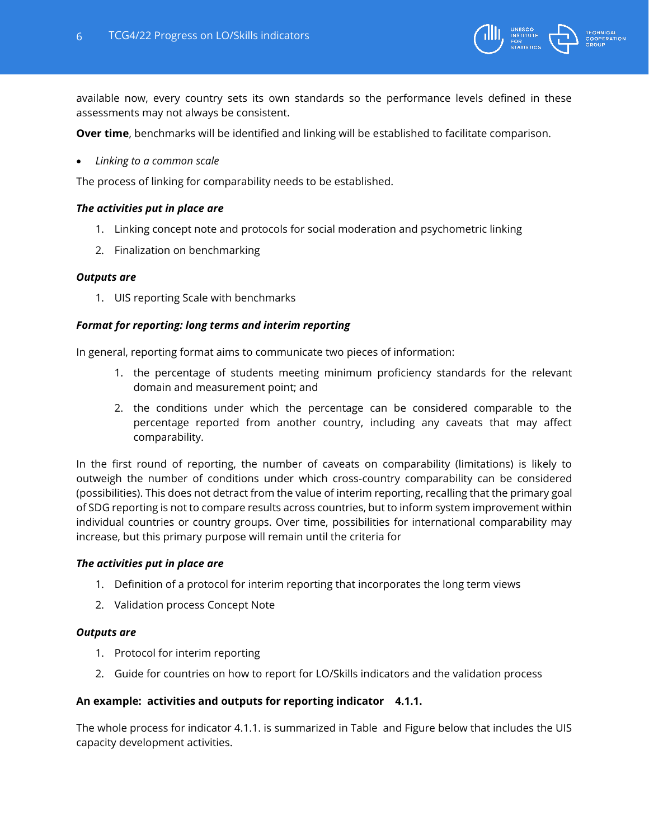

available now, every country sets its own standards so the performance levels defined in these assessments may not always be consistent.

**Over time**, benchmarks will be identified and linking will be established to facilitate comparison.

*Linking to a common scale* 

The process of linking for comparability needs to be established.

#### *The activities put in place are*

- 1. Linking concept note and protocols for social moderation and psychometric linking
- 2. Finalization on benchmarking

#### *Outputs are*

1. UIS reporting Scale with benchmarks

## *Format for reporting: long terms and interim reporting*

In general, reporting format aims to communicate two pieces of information:

- 1. the percentage of students meeting minimum proficiency standards for the relevant domain and measurement point; and
- 2. the conditions under which the percentage can be considered comparable to the percentage reported from another country, including any caveats that may affect comparability.

In the first round of reporting, the number of caveats on comparability (limitations) is likely to outweigh the number of conditions under which cross-country comparability can be considered (possibilities). This does not detract from the value of interim reporting, recalling that the primary goal of SDG reporting is not to compare results across countries, but to inform system improvement within individual countries or country groups. Over time, possibilities for international comparability may increase, but this primary purpose will remain until the criteria for

#### *The activities put in place are*

- 1. Definition of a protocol for interim reporting that incorporates the long term views
- 2. Validation process Concept Note

#### *Outputs are*

- 1. Protocol for interim reporting
- 2. Guide for countries on how to report for LO/Skills indicators and the validation process

#### **An example: activities and outputs for reporting indicator 4.1.1.**

The whole process for indicator 4.1.1. is summarized in Table and Figure below that includes the UIS capacity development activities.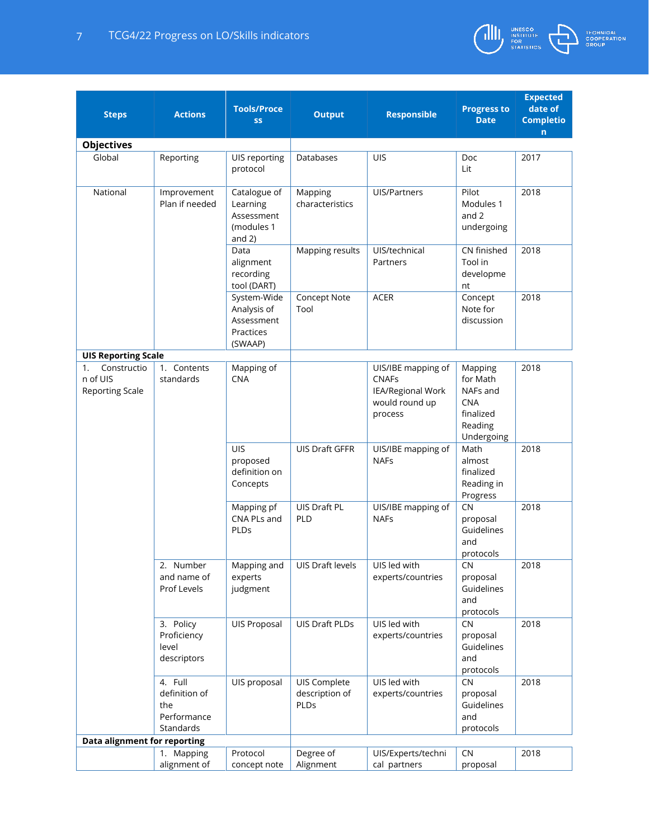

| <b>Steps</b>                                            | <b>Actions</b>                                              | <b>Tools/Proce</b><br><b>SS</b>                                  | <b>Output</b>                          | <b>Responsible</b>                                                                   | <b>Progress to</b><br><b>Date</b>                                                   | <b>Expected</b><br>date of<br><b>Completio</b><br>$\mathsf{n}$ |
|---------------------------------------------------------|-------------------------------------------------------------|------------------------------------------------------------------|----------------------------------------|--------------------------------------------------------------------------------------|-------------------------------------------------------------------------------------|----------------------------------------------------------------|
| <b>Objectives</b>                                       |                                                             |                                                                  |                                        |                                                                                      |                                                                                     |                                                                |
| Global                                                  | Reporting                                                   | UIS reporting<br>protocol                                        | Databases                              | UIS                                                                                  | Doc<br>Lit                                                                          | 2017                                                           |
| National                                                | Improvement<br>Plan if needed                               | Catalogue of<br>Learning<br>Assessment<br>(modules 1<br>and $2)$ | Mapping<br>characteristics             | UIS/Partners                                                                         | Pilot<br>Modules 1<br>and $2$<br>undergoing                                         | 2018                                                           |
|                                                         |                                                             | Data<br>alignment<br>recording<br>tool (DART)                    | Mapping results                        | UIS/technical<br>Partners                                                            | CN finished<br>Tool in<br>developme<br>nt                                           | 2018                                                           |
|                                                         |                                                             | System-Wide<br>Analysis of<br>Assessment<br>Practices<br>(SWAAP) | Concept Note<br>Tool                   | <b>ACER</b>                                                                          | Concept<br>Note for<br>discussion                                                   | 2018                                                           |
| <b>UIS Reporting Scale</b>                              |                                                             |                                                                  |                                        |                                                                                      |                                                                                     |                                                                |
| Constructio<br>1.<br>n of UIS<br><b>Reporting Scale</b> | 1. Contents<br>standards                                    | Mapping of<br><b>CNA</b>                                         |                                        | UIS/IBE mapping of<br><b>CNAFs</b><br>IEA/Regional Work<br>would round up<br>process | Mapping<br>for Math<br>NAFs and<br><b>CNA</b><br>finalized<br>Reading<br>Undergoing | 2018                                                           |
|                                                         |                                                             | UIS<br>proposed<br>definition on<br>Concepts                     | UIS Draft GFFR                         | UIS/IBE mapping of<br><b>NAFs</b>                                                    | Math<br>almost<br>finalized<br>Reading in<br>Progress                               | 2018                                                           |
|                                                         |                                                             | Mapping pf<br>CNA PLs and<br><b>PLDs</b>                         | UIS Draft PL<br>PLD                    | UIS/IBE mapping of<br><b>NAFs</b>                                                    | CN<br>proposal<br>Guidelines<br>and<br>protocols                                    | 2018                                                           |
|                                                         | 2. Number<br>and name of<br>Prof Levels                     | Mapping and<br>experts<br>judgment                               | UIS Draft levels                       | UIS led with<br>experts/countries                                                    | <b>CN</b><br>proposal<br>Guidelines<br>and<br>protocols                             | 2018                                                           |
|                                                         | 3. Policy<br>Proficiency<br>level<br>descriptors            | UIS Proposal                                                     | UIS Draft PLDs                         | UIS led with<br>experts/countries                                                    | CN<br>proposal<br>Guidelines<br>and<br>protocols                                    | 2018                                                           |
|                                                         | 4. Full<br>definition of<br>the<br>Performance<br>Standards | UIS proposal                                                     | UIS Complete<br>description of<br>PLDs | UIS led with<br>experts/countries                                                    | CN<br>proposal<br>Guidelines<br>and<br>protocols                                    | 2018                                                           |
| <b>Data alignment for reporting</b>                     |                                                             |                                                                  |                                        |                                                                                      |                                                                                     |                                                                |
|                                                         | 1. Mapping<br>alignment of                                  | Protocol<br>concept note                                         | Degree of<br>Alignment                 | UIS/Experts/techni<br>cal partners                                                   | <b>CN</b><br>proposal                                                               | 2018                                                           |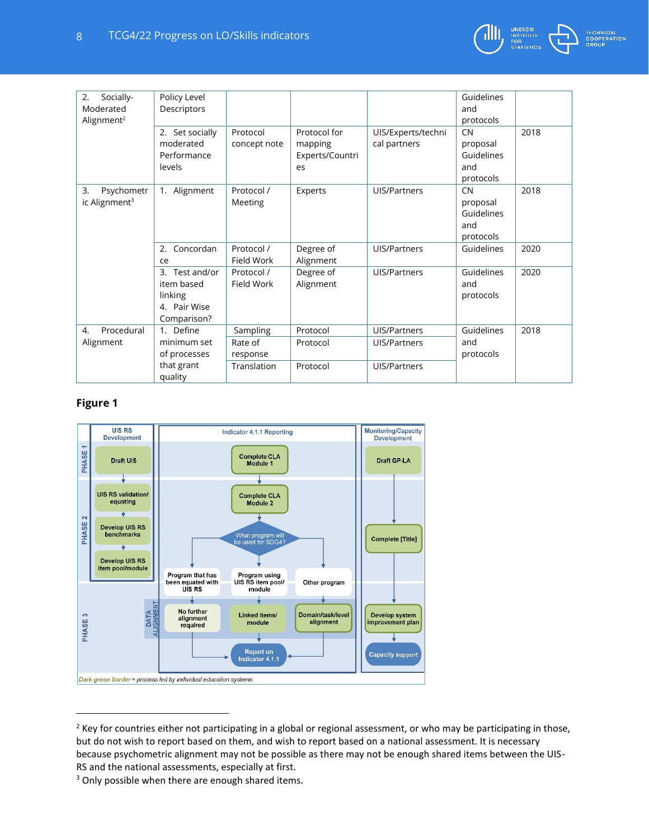

| Socially-<br>2.<br>Moderated<br>Alignment <sup>2</sup> | Policy Level<br>Descriptors                                            | Protocol                 | Protocol for                     |                                    | Guidelines<br>and<br>protocols<br><b>CN</b>             | 2018 |
|--------------------------------------------------------|------------------------------------------------------------------------|--------------------------|----------------------------------|------------------------------------|---------------------------------------------------------|------|
|                                                        | 2. Set socially<br>moderated<br>Performance<br>levels                  | concept note             | mapping<br>Experts/Countri<br>es | UIS/Experts/techni<br>cal partners | proposal<br>Guidelines<br>and<br>protocols              |      |
| 3.<br>Psychometr<br>ic Alignment <sup>3</sup>          | Alignment<br>1.                                                        | Protocol /<br>Meeting    | Experts                          | UIS/Partners                       | <b>CN</b><br>proposal<br>Guidelines<br>and<br>protocols | 2018 |
|                                                        | Concordan<br>2 <sub>1</sub><br>ce                                      | Protocol /<br>Field Work | Degree of<br>Alignment           | UIS/Partners                       | Guidelines                                              | 2020 |
|                                                        | 3. Test and/or<br>item based<br>linking<br>4. Pair Wise<br>Comparison? | Protocol /<br>Field Work | Degree of<br>Alignment           | UIS/Partners                       | Guidelines<br>and<br>protocols                          | 2020 |
| Procedural<br>4.                                       | 1. Define                                                              | Sampling                 | Protocol                         | UIS/Partners                       | Guidelines                                              | 2018 |
| Alignment                                              | minimum set<br>of processes                                            | Rate of<br>response      | Protocol                         | UIS/Partners                       | and<br>protocols                                        |      |
|                                                        | that grant<br>quality                                                  | Translation              | Protocol                         | UIS/Partners                       |                                                         |      |

# **Figure 1**



<sup>&</sup>lt;sup>2</sup> Key for countries either not participating in a global or regional assessment, or who may be participating in those, but do not wish to report based on them, and wish to report based on a national assessment. It is necessary because psychometric alignment may not be possible as there may not be enough shared items between the UIS-RS and the national assessments, especially at first.

<sup>&</sup>lt;sup>3</sup> Only possible when there are enough shared items.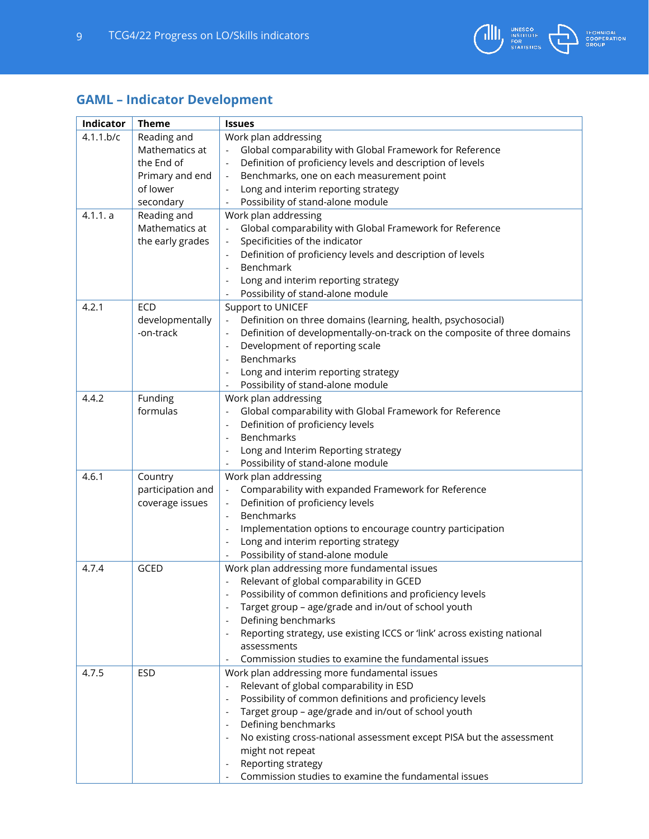# **GAML – Indicator Development**

| Indicator | <b>Theme</b>      | <b>Issues</b>                                                                          |
|-----------|-------------------|----------------------------------------------------------------------------------------|
| 4.1.1.b/c | Reading and       | Work plan addressing                                                                   |
|           | Mathematics at    | Global comparability with Global Framework for Reference                               |
|           | the End of        | Definition of proficiency levels and description of levels<br>$\overline{\phantom{a}}$ |
|           | Primary and end   | Benchmarks, one on each measurement point<br>$\Box$                                    |
|           | of lower          | Long and interim reporting strategy<br>$\overline{\phantom{a}}$                        |
|           | secondary         | Possibility of stand-alone module<br>$\Box$                                            |
| 4.1.1. a  | Reading and       | Work plan addressing                                                                   |
|           | Mathematics at    | Global comparability with Global Framework for Reference<br>$\overline{\phantom{a}}$   |
|           | the early grades  | Specificities of the indicator<br>$\overline{\phantom{a}}$                             |
|           |                   | Definition of proficiency levels and description of levels                             |
|           |                   | Benchmark                                                                              |
|           |                   | Long and interim reporting strategy                                                    |
|           |                   | Possibility of stand-alone module                                                      |
| 4.2.1     | <b>ECD</b>        | Support to UNICEF                                                                      |
|           | developmentally   | Definition on three domains (learning, health, psychosocial)                           |
|           | -on-track         | Definition of developmentally-on-track on the composite of three domains               |
|           |                   | Development of reporting scale                                                         |
|           |                   | Benchmarks                                                                             |
|           |                   | Long and interim reporting strategy<br>$\overline{\phantom{a}}$                        |
|           |                   | Possibility of stand-alone module                                                      |
| 4.4.2     | Funding           | Work plan addressing                                                                   |
|           | formulas          | Global comparability with Global Framework for Reference<br>$\blacksquare$             |
|           |                   | Definition of proficiency levels<br>$\overline{\phantom{a}}$                           |
|           |                   | Benchmarks<br>$\overline{\phantom{a}}$                                                 |
|           |                   | Long and Interim Reporting strategy                                                    |
|           |                   | Possibility of stand-alone module                                                      |
| 4.6.1     | Country           | Work plan addressing                                                                   |
|           | participation and | Comparability with expanded Framework for Reference                                    |
|           | coverage issues   | Definition of proficiency levels<br>$\overline{\phantom{a}}$                           |
|           |                   | Benchmarks<br>$\blacksquare$                                                           |
|           |                   | Implementation options to encourage country participation<br>$\overline{\phantom{a}}$  |
|           |                   | Long and interim reporting strategy                                                    |
|           |                   | Possibility of stand-alone module                                                      |
| 4.7.4     | GCED              | Work plan addressing more fundamental issues                                           |
|           |                   | Relevant of global comparability in GCED                                               |
|           |                   | Possibility of common definitions and proficiency levels                               |
|           |                   | Target group - age/grade and in/out of school youth                                    |
|           |                   | Defining benchmarks                                                                    |
|           |                   | Reporting strategy, use existing ICCS or 'link' across existing national               |
|           |                   | assessments                                                                            |
|           |                   | Commission studies to examine the fundamental issues                                   |
| 4.7.5     | ESD               | Work plan addressing more fundamental issues                                           |
|           |                   | Relevant of global comparability in ESD                                                |
|           |                   | Possibility of common definitions and proficiency levels                               |
|           |                   | Target group - age/grade and in/out of school youth                                    |
|           |                   | Defining benchmarks                                                                    |
|           |                   | No existing cross-national assessment except PISA but the assessment                   |
|           |                   | might not repeat                                                                       |
|           |                   | Reporting strategy                                                                     |
|           |                   | Commission studies to examine the fundamental issues                                   |

ULL UNESCO

**TECHNICAL<br>COOPERATION<br>GROUP**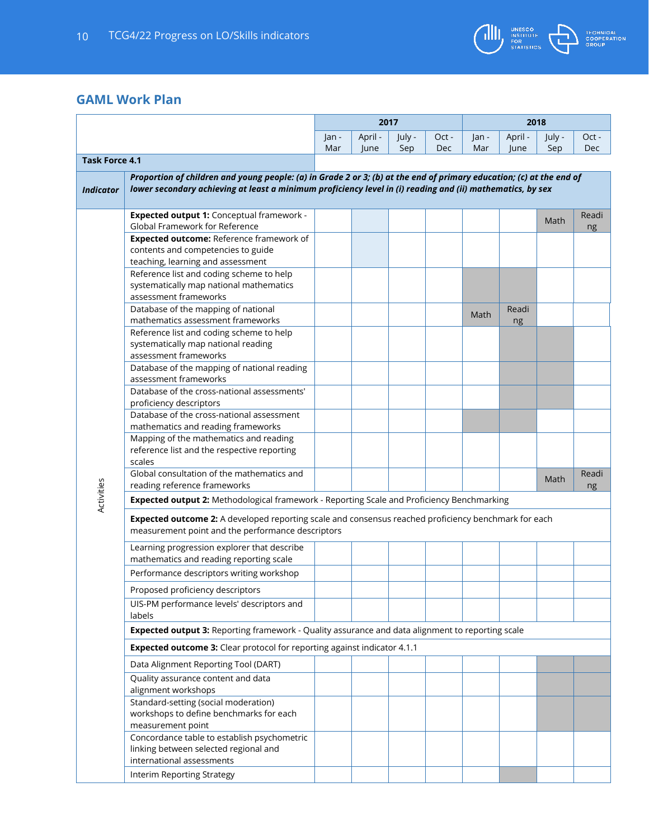

# **GAML Work Plan**

|                       |                                                                                                                                                                                                                                    |       |         | 2017   |            | 2018    |         |        |             |  |  |
|-----------------------|------------------------------------------------------------------------------------------------------------------------------------------------------------------------------------------------------------------------------------|-------|---------|--------|------------|---------|---------|--------|-------------|--|--|
|                       |                                                                                                                                                                                                                                    | Jan - | April - | July - | Oct -      | $Jan -$ | April - | July - | Oct -       |  |  |
|                       |                                                                                                                                                                                                                                    | Mar   | June    | Sep    | <b>Dec</b> | Mar     | June    | Sep    | Dec         |  |  |
| <b>Task Force 4.1</b> |                                                                                                                                                                                                                                    |       |         |        |            |         |         |        |             |  |  |
| <b>Indicator</b>      | Proportion of children and young people: (a) in Grade 2 or 3; (b) at the end of primary education; (c) at the end of<br>lower secondary achieving at least a minimum proficiency level in (i) reading and (ii) mathematics, by sex |       |         |        |            |         |         |        |             |  |  |
|                       | <b>Expected output 1:</b> Conceptual framework -<br>Global Framework for Reference                                                                                                                                                 |       |         |        |            |         |         | Math   | Readi<br>ng |  |  |
|                       | <b>Expected outcome: Reference framework of</b>                                                                                                                                                                                    |       |         |        |            |         |         |        |             |  |  |
|                       | contents and competencies to guide<br>teaching, learning and assessment                                                                                                                                                            |       |         |        |            |         |         |        |             |  |  |
|                       | Reference list and coding scheme to help                                                                                                                                                                                           |       |         |        |            |         |         |        |             |  |  |
|                       | systematically map national mathematics<br>assessment frameworks                                                                                                                                                                   |       |         |        |            |         |         |        |             |  |  |
|                       | Database of the mapping of national                                                                                                                                                                                                |       |         |        |            | Math    | Readi   |        |             |  |  |
|                       | mathematics assessment frameworks<br>Reference list and coding scheme to help                                                                                                                                                      |       |         |        |            |         | ng      |        |             |  |  |
|                       | systematically map national reading                                                                                                                                                                                                |       |         |        |            |         |         |        |             |  |  |
|                       | assessment frameworks<br>Database of the mapping of national reading                                                                                                                                                               |       |         |        |            |         |         |        |             |  |  |
|                       | assessment frameworks                                                                                                                                                                                                              |       |         |        |            |         |         |        |             |  |  |
|                       | Database of the cross-national assessments'<br>proficiency descriptors                                                                                                                                                             |       |         |        |            |         |         |        |             |  |  |
|                       | Database of the cross-national assessment                                                                                                                                                                                          |       |         |        |            |         |         |        |             |  |  |
|                       | mathematics and reading frameworks<br>Mapping of the mathematics and reading                                                                                                                                                       |       |         |        |            |         |         |        |             |  |  |
|                       | reference list and the respective reporting                                                                                                                                                                                        |       |         |        |            |         |         |        |             |  |  |
|                       | scales<br>Global consultation of the mathematics and                                                                                                                                                                               |       |         |        |            |         |         |        | Readi       |  |  |
|                       | reading reference frameworks                                                                                                                                                                                                       |       |         |        |            |         |         | Math   | ng          |  |  |
| Activities            | Expected output 2: Methodological framework - Reporting Scale and Proficiency Benchmarking                                                                                                                                         |       |         |        |            |         |         |        |             |  |  |
|                       | Expected outcome 2: A developed reporting scale and consensus reached proficiency benchmark for each<br>measurement point and the performance descriptors                                                                          |       |         |        |            |         |         |        |             |  |  |
|                       | Learning progression explorer that describe                                                                                                                                                                                        |       |         |        |            |         |         |        |             |  |  |
|                       | mathematics and reading reporting scale<br>Performance descriptors writing workshop                                                                                                                                                |       |         |        |            |         |         |        |             |  |  |
|                       | Proposed proficiency descriptors                                                                                                                                                                                                   |       |         |        |            |         |         |        |             |  |  |
|                       | UIS-PM performance levels' descriptors and                                                                                                                                                                                         |       |         |        |            |         |         |        |             |  |  |
|                       | labels                                                                                                                                                                                                                             |       |         |        |            |         |         |        |             |  |  |
|                       | Expected output 3: Reporting framework - Quality assurance and data alignment to reporting scale                                                                                                                                   |       |         |        |            |         |         |        |             |  |  |
|                       | <b>Expected outcome 3:</b> Clear protocol for reporting against indicator 4.1.1                                                                                                                                                    |       |         |        |            |         |         |        |             |  |  |
|                       | Data Alignment Reporting Tool (DART)                                                                                                                                                                                               |       |         |        |            |         |         |        |             |  |  |
|                       | Quality assurance content and data<br>alignment workshops                                                                                                                                                                          |       |         |        |            |         |         |        |             |  |  |
|                       | Standard-setting (social moderation)                                                                                                                                                                                               |       |         |        |            |         |         |        |             |  |  |
|                       | workshops to define benchmarks for each<br>measurement point                                                                                                                                                                       |       |         |        |            |         |         |        |             |  |  |
|                       | Concordance table to establish psychometric                                                                                                                                                                                        |       |         |        |            |         |         |        |             |  |  |
|                       | linking between selected regional and<br>international assessments                                                                                                                                                                 |       |         |        |            |         |         |        |             |  |  |
|                       | Interim Reporting Strategy                                                                                                                                                                                                         |       |         |        |            |         |         |        |             |  |  |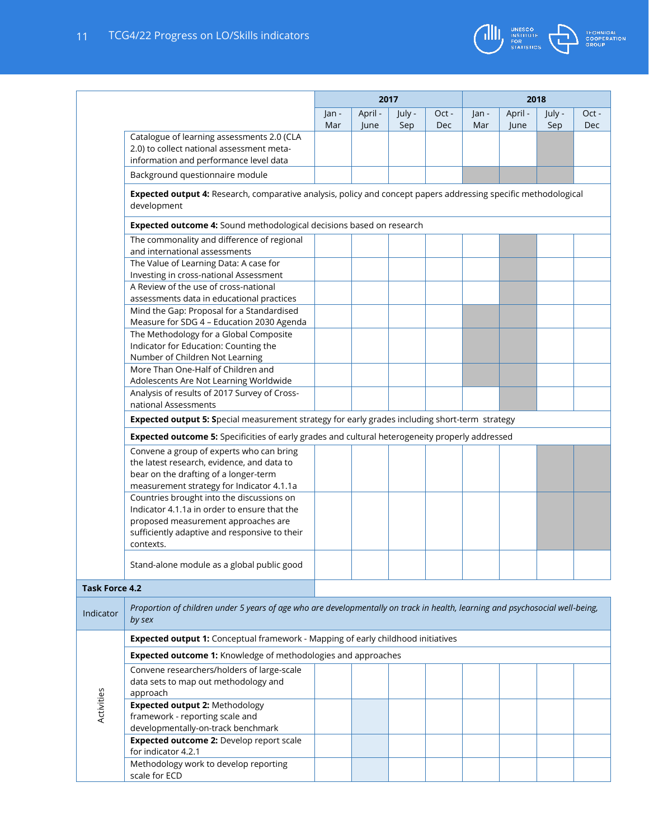

|                       |                                                                                                                                                                                                |                |                 | 2017          |                       | 2018           |                 |               |                     |  |
|-----------------------|------------------------------------------------------------------------------------------------------------------------------------------------------------------------------------------------|----------------|-----------------|---------------|-----------------------|----------------|-----------------|---------------|---------------------|--|
|                       |                                                                                                                                                                                                | $Jan -$<br>Mar | April -<br>June | July -<br>Sep | $Oct -$<br><b>Dec</b> | $ an -$<br>Mar | April -<br>June | July -<br>Sep | Oct -<br><b>Dec</b> |  |
|                       | Catalogue of learning assessments 2.0 (CLA<br>2.0) to collect national assessment meta-<br>information and performance level data                                                              |                |                 |               |                       |                |                 |               |                     |  |
|                       | Background questionnaire module                                                                                                                                                                |                |                 |               |                       |                |                 |               |                     |  |
|                       | Expected output 4: Research, comparative analysis, policy and concept papers addressing specific methodological<br>development                                                                 |                |                 |               |                       |                |                 |               |                     |  |
|                       | Expected outcome 4: Sound methodological decisions based on research                                                                                                                           |                |                 |               |                       |                |                 |               |                     |  |
|                       | The commonality and difference of regional<br>and international assessments                                                                                                                    |                |                 |               |                       |                |                 |               |                     |  |
|                       | The Value of Learning Data: A case for<br>Investing in cross-national Assessment                                                                                                               |                |                 |               |                       |                |                 |               |                     |  |
|                       | A Review of the use of cross-national<br>assessments data in educational practices                                                                                                             |                |                 |               |                       |                |                 |               |                     |  |
|                       | Mind the Gap: Proposal for a Standardised<br>Measure for SDG 4 - Education 2030 Agenda                                                                                                         |                |                 |               |                       |                |                 |               |                     |  |
|                       | The Methodology for a Global Composite<br>Indicator for Education: Counting the<br>Number of Children Not Learning                                                                             |                |                 |               |                       |                |                 |               |                     |  |
|                       | More Than One-Half of Children and<br>Adolescents Are Not Learning Worldwide                                                                                                                   |                |                 |               |                       |                |                 |               |                     |  |
|                       | Analysis of results of 2017 Survey of Cross-<br>national Assessments                                                                                                                           |                |                 |               |                       |                |                 |               |                     |  |
|                       | Expected output 5: Special measurement strategy for early grades including short-term strategy                                                                                                 |                |                 |               |                       |                |                 |               |                     |  |
|                       | Expected outcome 5: Specificities of early grades and cultural heterogeneity properly addressed                                                                                                |                |                 |               |                       |                |                 |               |                     |  |
|                       | Convene a group of experts who can bring<br>the latest research, evidence, and data to<br>bear on the drafting of a longer-term<br>measurement strategy for Indicator 4.1.1a                   |                |                 |               |                       |                |                 |               |                     |  |
|                       | Countries brought into the discussions on<br>Indicator 4.1.1a in order to ensure that the<br>proposed measurement approaches are<br>sufficiently adaptive and responsive to their<br>contexts. |                |                 |               |                       |                |                 |               |                     |  |
|                       | Stand-alone module as a global public good                                                                                                                                                     |                |                 |               |                       |                |                 |               |                     |  |
| <b>Task Force 4.2</b> |                                                                                                                                                                                                |                |                 |               |                       |                |                 |               |                     |  |
| Indicator             | Proportion of children under 5 years of age who are developmentally on track in health, learning and psychosocial well-being,<br>by sex                                                        |                |                 |               |                       |                |                 |               |                     |  |
|                       | <b>Expected output 1:</b> Conceptual framework - Mapping of early childhood initiatives                                                                                                        |                |                 |               |                       |                |                 |               |                     |  |
|                       | <b>Expected outcome 1:</b> Knowledge of methodologies and approaches                                                                                                                           |                |                 |               |                       |                |                 |               |                     |  |
|                       | Convene researchers/holders of large-scale<br>data sets to map out methodology and<br>approach                                                                                                 |                |                 |               |                       |                |                 |               |                     |  |
| Activities            | <b>Expected output 2: Methodology</b><br>framework - reporting scale and<br>developmentally-on-track benchmark                                                                                 |                |                 |               |                       |                |                 |               |                     |  |
|                       | <b>Expected outcome 2: Develop report scale</b><br>for indicator 4.2.1                                                                                                                         |                |                 |               |                       |                |                 |               |                     |  |
|                       | Methodology work to develop reporting<br>scale for ECD                                                                                                                                         |                |                 |               |                       |                |                 |               |                     |  |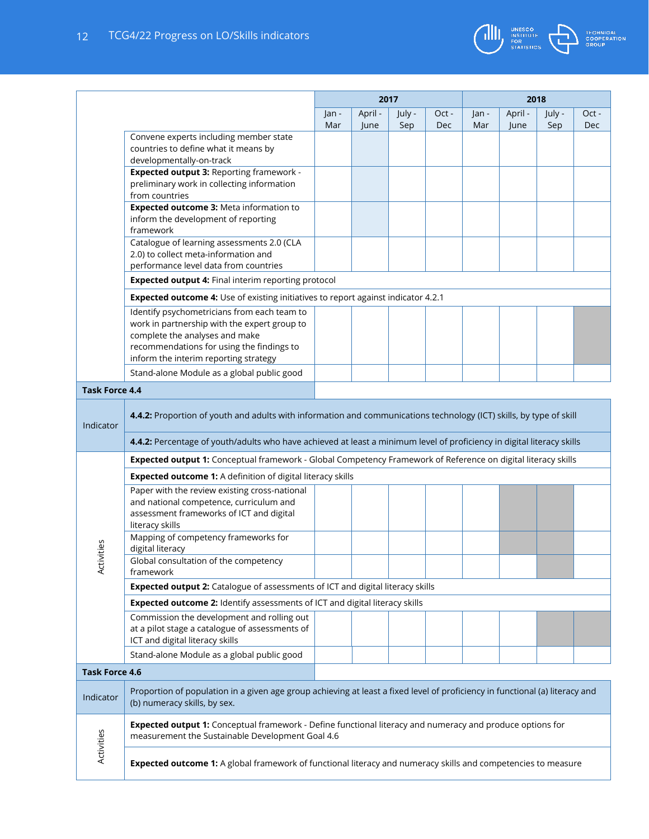

| <b>TECHNICAL</b>  |
|-------------------|
| <b>COOPERATIO</b> |
| <b>GROUP</b>      |

|                       |                                                                                                                                                              | 2018<br>2017 |         |        |       |                                       |      |     |     |  |
|-----------------------|--------------------------------------------------------------------------------------------------------------------------------------------------------------|--------------|---------|--------|-------|---------------------------------------|------|-----|-----|--|
|                       |                                                                                                                                                              | Jan -        | April - | July - | Oct - | April -<br>July -<br>Oct -<br>$ an -$ |      |     |     |  |
|                       | Convene experts including member state                                                                                                                       | Mar          | June    | Sep    | Dec   | Mar                                   | June | Sep | Dec |  |
|                       | countries to define what it means by                                                                                                                         |              |         |        |       |                                       |      |     |     |  |
|                       | developmentally-on-track                                                                                                                                     |              |         |        |       |                                       |      |     |     |  |
|                       | <b>Expected output 3: Reporting framework -</b>                                                                                                              |              |         |        |       |                                       |      |     |     |  |
|                       | preliminary work in collecting information<br>from countries                                                                                                 |              |         |        |       |                                       |      |     |     |  |
|                       | <b>Expected outcome 3: Meta information to</b>                                                                                                               |              |         |        |       |                                       |      |     |     |  |
|                       | inform the development of reporting                                                                                                                          |              |         |        |       |                                       |      |     |     |  |
|                       | framework                                                                                                                                                    |              |         |        |       |                                       |      |     |     |  |
|                       | Catalogue of learning assessments 2.0 (CLA                                                                                                                   |              |         |        |       |                                       |      |     |     |  |
|                       | 2.0) to collect meta-information and<br>performance level data from countries                                                                                |              |         |        |       |                                       |      |     |     |  |
|                       | <b>Expected output 4: Final interim reporting protocol</b>                                                                                                   |              |         |        |       |                                       |      |     |     |  |
|                       | <b>Expected outcome 4:</b> Use of existing initiatives to report against indicator 4.2.1                                                                     |              |         |        |       |                                       |      |     |     |  |
|                       | Identify psychometricians from each team to                                                                                                                  |              |         |        |       |                                       |      |     |     |  |
|                       | work in partnership with the expert group to                                                                                                                 |              |         |        |       |                                       |      |     |     |  |
|                       | complete the analyses and make                                                                                                                               |              |         |        |       |                                       |      |     |     |  |
|                       | recommendations for using the findings to<br>inform the interim reporting strategy                                                                           |              |         |        |       |                                       |      |     |     |  |
|                       | Stand-alone Module as a global public good                                                                                                                   |              |         |        |       |                                       |      |     |     |  |
| <b>Task Force 4.4</b> |                                                                                                                                                              |              |         |        |       |                                       |      |     |     |  |
|                       |                                                                                                                                                              |              |         |        |       |                                       |      |     |     |  |
| Indicator             | 4.4.2: Proportion of youth and adults with information and communications technology (ICT) skills, by type of skill                                          |              |         |        |       |                                       |      |     |     |  |
|                       | 4.4.2: Percentage of youth/adults who have achieved at least a minimum level of proficiency in digital literacy skills                                       |              |         |        |       |                                       |      |     |     |  |
|                       | Expected output 1: Conceptual framework - Global Competency Framework of Reference on digital literacy skills                                                |              |         |        |       |                                       |      |     |     |  |
|                       | <b>Expected outcome 1:</b> A definition of digital literacy skills                                                                                           |              |         |        |       |                                       |      |     |     |  |
|                       | Paper with the review existing cross-national                                                                                                                |              |         |        |       |                                       |      |     |     |  |
|                       | and national competence, curriculum and                                                                                                                      |              |         |        |       |                                       |      |     |     |  |
|                       | assessment frameworks of ICT and digital<br>literacy skills                                                                                                  |              |         |        |       |                                       |      |     |     |  |
|                       | Mapping of competency frameworks for                                                                                                                         |              |         |        |       |                                       |      |     |     |  |
|                       | digital literacy                                                                                                                                             |              |         |        |       |                                       |      |     |     |  |
| Activities            | Global consultation of the competency<br>framework                                                                                                           |              |         |        |       |                                       |      |     |     |  |
|                       | Expected output 2: Catalogue of assessments of ICT and digital literacy skills                                                                               |              |         |        |       |                                       |      |     |     |  |
|                       | Expected outcome 2: Identify assessments of ICT and digital literacy skills                                                                                  |              |         |        |       |                                       |      |     |     |  |
|                       | Commission the development and rolling out                                                                                                                   |              |         |        |       |                                       |      |     |     |  |
|                       | at a pilot stage a catalogue of assessments of                                                                                                               |              |         |        |       |                                       |      |     |     |  |
|                       | ICT and digital literacy skills                                                                                                                              |              |         |        |       |                                       |      |     |     |  |
|                       | Stand-alone Module as a global public good                                                                                                                   |              |         |        |       |                                       |      |     |     |  |
| <b>Task Force 4.6</b> |                                                                                                                                                              |              |         |        |       |                                       |      |     |     |  |
| Indicator             | Proportion of population in a given age group achieving at least a fixed level of proficiency in functional (a) literacy and<br>(b) numeracy skills, by sex. |              |         |        |       |                                       |      |     |     |  |
|                       | Expected output 1: Conceptual framework - Define functional literacy and numeracy and produce options for                                                    |              |         |        |       |                                       |      |     |     |  |
|                       | measurement the Sustainable Development Goal 4.6                                                                                                             |              |         |        |       |                                       |      |     |     |  |
| Activities            |                                                                                                                                                              |              |         |        |       |                                       |      |     |     |  |
|                       | Expected outcome 1: A global framework of functional literacy and numeracy skills and competencies to measure                                                |              |         |        |       |                                       |      |     |     |  |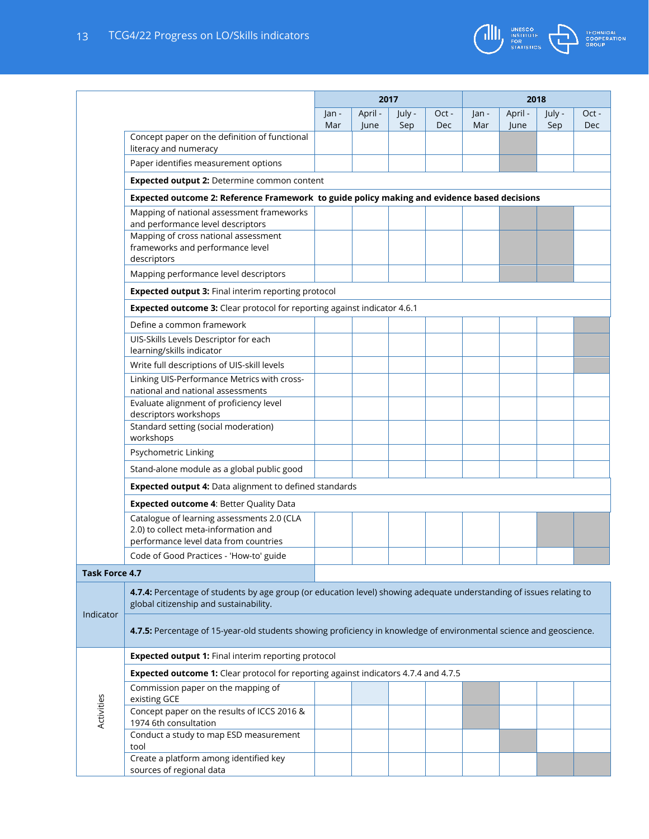

|                       |                                                                                                                                                                | 2018<br>2017                          |      |     |            |                                       |      |     |     |  |
|-----------------------|----------------------------------------------------------------------------------------------------------------------------------------------------------------|---------------------------------------|------|-----|------------|---------------------------------------|------|-----|-----|--|
|                       |                                                                                                                                                                | April -<br>July -<br>$ an -$<br>Oct - |      |     |            | April -<br>$ an -$<br>July -<br>Oct - |      |     |     |  |
|                       |                                                                                                                                                                | Mar                                   | June | Sep | <b>Dec</b> | Mar                                   | June | Sep | Dec |  |
|                       | Concept paper on the definition of functional<br>literacy and numeracy                                                                                         |                                       |      |     |            |                                       |      |     |     |  |
|                       | Paper identifies measurement options                                                                                                                           |                                       |      |     |            |                                       |      |     |     |  |
|                       | <b>Expected output 2: Determine common content</b>                                                                                                             |                                       |      |     |            |                                       |      |     |     |  |
|                       | Expected outcome 2: Reference Framework to guide policy making and evidence based decisions                                                                    |                                       |      |     |            |                                       |      |     |     |  |
|                       | Mapping of national assessment frameworks<br>and performance level descriptors                                                                                 |                                       |      |     |            |                                       |      |     |     |  |
|                       | Mapping of cross national assessment<br>frameworks and performance level<br>descriptors                                                                        |                                       |      |     |            |                                       |      |     |     |  |
|                       | Mapping performance level descriptors                                                                                                                          |                                       |      |     |            |                                       |      |     |     |  |
|                       | <b>Expected output 3: Final interim reporting protocol</b>                                                                                                     |                                       |      |     |            |                                       |      |     |     |  |
|                       | <b>Expected outcome 3:</b> Clear protocol for reporting against indicator 4.6.1                                                                                |                                       |      |     |            |                                       |      |     |     |  |
|                       | Define a common framework                                                                                                                                      |                                       |      |     |            |                                       |      |     |     |  |
|                       | UIS-Skills Levels Descriptor for each<br>learning/skills indicator                                                                                             |                                       |      |     |            |                                       |      |     |     |  |
|                       | Write full descriptions of UIS-skill levels                                                                                                                    |                                       |      |     |            |                                       |      |     |     |  |
|                       | Linking UIS-Performance Metrics with cross-<br>national and national assessments                                                                               |                                       |      |     |            |                                       |      |     |     |  |
|                       | Evaluate alignment of proficiency level<br>descriptors workshops                                                                                               |                                       |      |     |            |                                       |      |     |     |  |
|                       | Standard setting (social moderation)<br>workshops                                                                                                              |                                       |      |     |            |                                       |      |     |     |  |
|                       | Psychometric Linking                                                                                                                                           |                                       |      |     |            |                                       |      |     |     |  |
|                       | Stand-alone module as a global public good                                                                                                                     |                                       |      |     |            |                                       |      |     |     |  |
|                       | <b>Expected output 4: Data alignment to defined standards</b>                                                                                                  |                                       |      |     |            |                                       |      |     |     |  |
|                       | <b>Expected outcome 4: Better Quality Data</b>                                                                                                                 |                                       |      |     |            |                                       |      |     |     |  |
|                       | Catalogue of learning assessments 2.0 (CLA<br>2.0) to collect meta-information and<br>performance level data from countries                                    |                                       |      |     |            |                                       |      |     |     |  |
|                       | Code of Good Practices - 'How-to' guide                                                                                                                        |                                       |      |     |            |                                       |      |     |     |  |
| <b>Task Force 4.7</b> |                                                                                                                                                                |                                       |      |     |            |                                       |      |     |     |  |
|                       | 4.7.4: Percentage of students by age group (or education level) showing adequate understanding of issues relating to<br>global citizenship and sustainability. |                                       |      |     |            |                                       |      |     |     |  |
| Indicator             | 4.7.5: Percentage of 15-year-old students showing proficiency in knowledge of environmental science and geoscience.                                            |                                       |      |     |            |                                       |      |     |     |  |
|                       | <b>Expected output 1: Final interim reporting protocol</b>                                                                                                     |                                       |      |     |            |                                       |      |     |     |  |
|                       | <b>Expected outcome 1:</b> Clear protocol for reporting against indicators 4.7.4 and 4.7.5                                                                     |                                       |      |     |            |                                       |      |     |     |  |
|                       | Commission paper on the mapping of<br>existing GCE                                                                                                             |                                       |      |     |            |                                       |      |     |     |  |
| Activities            | Concept paper on the results of ICCS 2016 &<br>1974 6th consultation                                                                                           |                                       |      |     |            |                                       |      |     |     |  |
|                       | Conduct a study to map ESD measurement<br>tool                                                                                                                 |                                       |      |     |            |                                       |      |     |     |  |
|                       | Create a platform among identified key<br>sources of regional data                                                                                             |                                       |      |     |            |                                       |      |     |     |  |